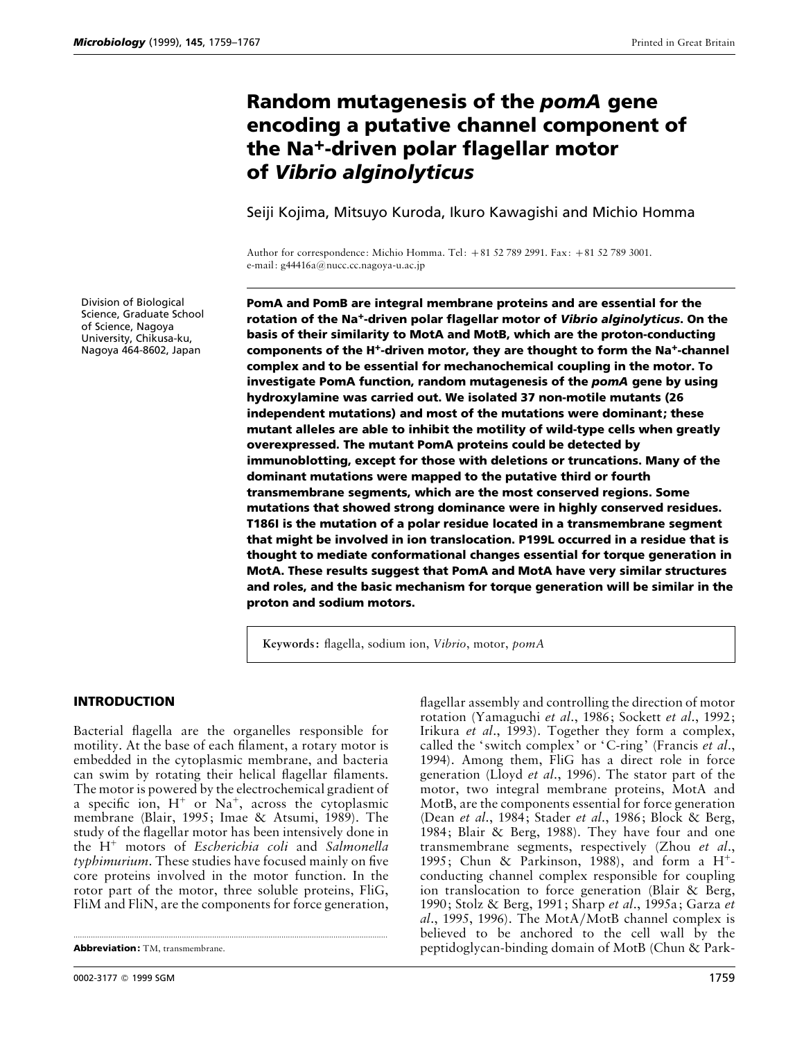# **Random mutagenesis of the** *pomA* **gene encoding a putative channel component of the Na<sup>+</sup>-driven polar flagellar motor of** *Vibrio alginolyticus*

Seiji Kojima, Mitsuyo Kuroda, Ikuro Kawagishi and Michio Homma

Author for correspondence: Michio Homma. Tel: +81 52 789 2991. Fax: +81 52 789 3001. e-mail: g44416a@nucc.cc.nagoya-u.ac.jp

**PomA and PomB are integral membrane proteins and are essential for the rotation of the Na**M**-driven polar flagellar motor of** *Vibrio alginolyticus***. On the basis of their similarity to MotA and MotB, which are the proton-conducting** components of the H<sup>+</sup>-driven motor, they are thought to form the Na<sup>+</sup>-channel **complex and to be essential for mechanochemical coupling in the motor. To investigate PomA function, random mutagenesis of the** *pomA* **gene by using hydroxylamine was carried out. We isolated 37 non-motile mutants (26 independent mutations) and most of the mutations were dominant; these mutant alleles are able to inhibit the motility of wild-type cells when greatly overexpressed. The mutant PomA proteins could be detected by immunoblotting, except for those with deletions or truncations. Many of the dominant mutations were mapped to the putative third or fourth transmembrane segments, which are the most conserved regions. Some mutations that showed strong dominance were in highly conserved residues. T186I is the mutation of a polar residue located in a transmembrane segment that might be involved in ion translocation. P199L occurred in a residue that is thought to mediate conformational changes essential for torque generation in MotA. These results suggest that PomA and MotA have very similar structures and roles, and the basic mechanism for torque generation will be similar in the proton and sodium motors.**

**Keywords:** flagella, sodium ion, *Vibrio*, motor, *pomA*

**INTRODUCTION**

Bacterial flagella are the organelles responsible for motility. At the base of each filament, a rotary motor is embedded in the cytoplasmic membrane, and bacteria can swim by rotating their helical flagellar filaments. The motor is powered by the electrochemical gradient of a specific ion,  $H^+$  or  $Na^+$ , across the cytoplasmic membrane (Blair, 1995; Imae & Atsumi, 1989). The study of the flagellar motor has been intensively done in the H+ motors of *Escherichia coli* and *Salmonella typhimurium*. These studies have focused mainly on five core proteins involved in the motor function. In the rotor part of the motor, three soluble proteins, FliG, FliM and FliN, are the components for force generation,

.................................................................................................................................................

flagellar assembly and controlling the direction of motor rotation (Yamaguchi *et al*., 1986; Sockett *et al*., 1992; Irikura *et al*., 1993). Together they form a complex, called the ' switch complex' or 'C-ring' (Francis *et al*., 1994). Among them, FliG has a direct role in force generation (Lloyd *et al*., 1996). The stator part of the motor, two integral membrane proteins, MotA and MotB, are the components essential for force generation (Dean *et al*., 1984; Stader *et al*., 1986; Block & Berg, 1984; Blair & Berg, 1988). They have four and one transmembrane segments, respectively (Zhou *et al*., 1995; Chun & Parkinson, 1988), and form a  $H^+$ conducting channel complex responsible for coupling ion translocation to force generation (Blair & Berg, 1990; Stolz & Berg, 1991; Sharp *et al*., 1995a; Garza *et al*., 1995, 1996). The MotA}MotB channel complex is believed to be anchored to the cell wall by the peptidoglycan-binding domain of MotB (Chun & Park-

Division of Biological Science, Graduate School of Science, Nagoya University, Chikusa-ku, Nagoya 464-8602, Japan

**Abbreviation:** TM, transmembrane.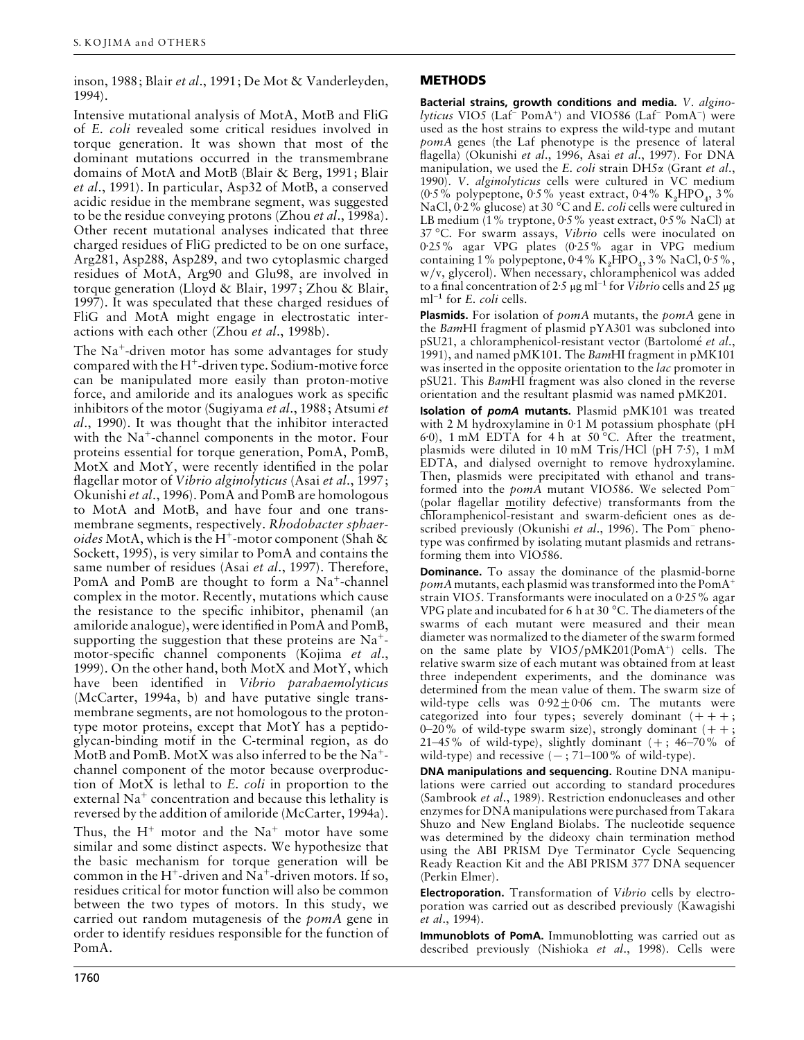inson, 1988; Blair *et al*., 1991; De Mot & Vanderleyden, 1994).

Intensive mutational analysis of MotA, MotB and FliG of *E*. *coli* revealed some critical residues involved in torque generation. It was shown that most of the dominant mutations occurred in the transmembrane domains of MotA and MotB (Blair & Berg, 1991; Blair *et al*., 1991). In particular, Asp32 of MotB, a conserved acidic residue in the membrane segment, was suggested to be the residue conveying protons (Zhou *et al*., 1998a). Other recent mutational analyses indicated that three charged residues of FliG predicted to be on one surface, Arg281, Asp288, Asp289, and two cytoplasmic charged residues of MotA, Arg90 and Glu98, are involved in torque generation (Lloyd & Blair, 1997; Zhou & Blair, 1997). It was speculated that these charged residues of FliG and MotA might engage in electrostatic interactions with each other (Zhou *et al*., 1998b).

The Na+-driven motor has some advantages for study compared with the  $H^+$ -driven type. Sodium-motive force can be manipulated more easily than proton-motive force, and amiloride and its analogues work as specific inhibitors of the motor (Sugiyama *et al*., 1988; Atsumi *et al*., 1990). It was thought that the inhibitor interacted with the Na<sup>+</sup>-channel components in the motor. Four proteins essential for torque generation, PomA, PomB, MotX and MotY, were recently identified in the polar flagellar motor of *Vibrio alginolyticus* (Asai *et al*., 1997; Okunishi *et al*., 1996). PomA and PomB are homologous to MotA and MotB, and have four and one transmembrane segments, respectively. *Rhodobacter sphaeroides* MotA, which is the H<sup>+</sup>-motor component (Shah  $\&$ Sockett, 1995), is very similar to PomA and contains the same number of residues (Asai *et al*., 1997). Therefore, PomA and PomB are thought to form a  $Na<sup>+</sup>$ -channel complex in the motor. Recently, mutations which cause the resistance to the specific inhibitor, phenamil (an amiloride analogue), were identified in PomA and PomB, supporting the suggestion that these proteins are  $Na<sup>+</sup>$ motor-specific channel components (Kojima *et al*., 1999). On the other hand, both MotX and MotY, which have been identified in *Vibrio parahaemolyticus* (McCarter, 1994a, b) and have putative single transmembrane segments, are not homologous to the protontype motor proteins, except that MotY has a peptidoglycan-binding motif in the C-terminal region, as do MotB and PomB. MotX was also inferred to be the  $Na^+$ channel component of the motor because overproduction of MotX is lethal to *E*. *coli* in proportion to the external  $Na<sup>+</sup>$  concentration and because this lethality is reversed by the addition of amiloride (McCarter, 1994a).

Thus, the  $H^+$  motor and the  $Na^+$  motor have some similar and some distinct aspects. We hypothesize that the basic mechanism for torque generation will be common in the H<sup>+</sup>-driven and Na<sup>+</sup>-driven motors. If so, residues critical for motor function will also be common between the two types of motors. In this study, we carried out random mutagenesis of the *pomA* gene in order to identify residues responsible for the function of PomA.

# **METHODS**

**Bacterial strains, growth conditions and media.** *V*. *alginolyticus* VIO5 (Laf− PomA+) and VIO586 (Laf− PomA−) were used as the host strains to express the wild-type and mutant *pomA* genes (the Laf phenotype is the presence of lateral flagella) (Okunishi *et al*., 1996, Asai *et al*., 1997). For DNA manipulation, we used the *E*. *coli* strain DH5α (Grant *et al*., 1990). *V*. *alginolyticus* cells were cultured in VC medium (0.5% polypeptone, 0.5% yeast extract, 0.4% K<sub>2</sub>HPO<sub>4</sub>, 3% NaCl, 0±2% glucose) at 30 °C and *E*. *coli* cells were cultured in LB medium (1% tryptone,  $0.5\%$  yeast extract,  $0.5\%$  NaCl) at 37 °C. For swarm assays, *Vibrio* cells were inoculated on 0±25% agar VPG plates (0±25% agar in VPG medium containing 1% polypeptone, 0.4% K<sub>2</sub>HPO<sub>4</sub>, 3% NaCl, 0.5%, w}v, glycerol). When necessary, chloramphenicol was added to a final concentration of 2±<sup>5</sup> <sup>µ</sup>g ml−" for *Vibrio* cells and 25 <sup>µ</sup><sup>g</sup> ml−" for *<sup>E</sup>*. *coli* cells.

**Plasmids.** For isolation of *pomA* mutants, the *pomA* gene in the *Bam*HI fragment of plasmid pYA301 was subcloned into pSU21, a chloramphenicol-resistant vector (Bartolomé *et al.*, 1991), and named pMK101. The *Bam*HI fragment in pMK101 was inserted in the opposite orientation to the *lac* promoter in pSU21. This *Bam*HI fragment was also cloned in the reverse orientation and the resultant plasmid was named pMK201.

**Isolation of** *pomA* **mutants.** Plasmid pMK101 was treated with 2 M hydroxylamine in  $0:1$  M potassium phosphate (pH 6±0), 1 mM EDTA for 4 h at 50 °C. After the treatment, plasmids were diluted in 10 mM Tris/HCl (pH  $7.5$ ), 1 mM EDTA, and dialysed overnight to remove hydroxylamine. Then, plasmids were precipitated with ethanol and transformed into the *pomA* mutant VIO586. We selected Pom− (polar flagellar motility defective) transformants from the chloramphenicol-resistant and swarm-deficient ones as described previously (Okunishi *et al*., 1996). The Pom− phenotype was confirmed by isolating mutant plasmids and retransforming them into VIO586.

**Dominance.** To assay the dominance of the plasmid-borne *pomA* mutants, each plasmid was transformed into the PomA+ strain VIO5. Transformants were inoculated on a 0.25% agar VPG plate and incubated for 6 h at 30 °C. The diameters of the swarms of each mutant were measured and their mean diameter was normalized to the diameter of the swarm formed on the same plate by VIO5/pMK201(PomA<sup>+</sup>) cells. The relative swarm size of each mutant was obtained from at least three independent experiments, and the dominance was determined from the mean value of them. The swarm size of wild-type cells was  $0.92 \pm 0.06$  cm. The mutants were categorized into four types; severely dominant  $(++)$ ; 0–20% of wild-type swarm size), strongly dominant  $(++)$ ; 21–45% of wild-type), slightly dominant  $(+; 46-70%$  of wild-type) and recessive  $(-; 71-100\%$  of wild-type).

**DNA manipulations and sequencing.** Routine DNA manipulations were carried out according to standard procedures (Sambrook *et al*., 1989). Restriction endonucleases and other enzymes for DNA manipulations were purchased from Takara Shuzo and New England Biolabs. The nucleotide sequence was determined by the dideoxy chain termination method using the ABI PRISM Dye Terminator Cycle Sequencing Ready Reaction Kit and the ABI PRISM 377 DNA sequencer (Perkin Elmer).

**Electroporation.** Transformation of *Vibrio* cells by electroporation was carried out as described previously (Kawagishi *et al*., 1994).

**Immunoblots of PomA.** Immunoblotting was carried out as described previously (Nishioka *et al*., 1998). Cells were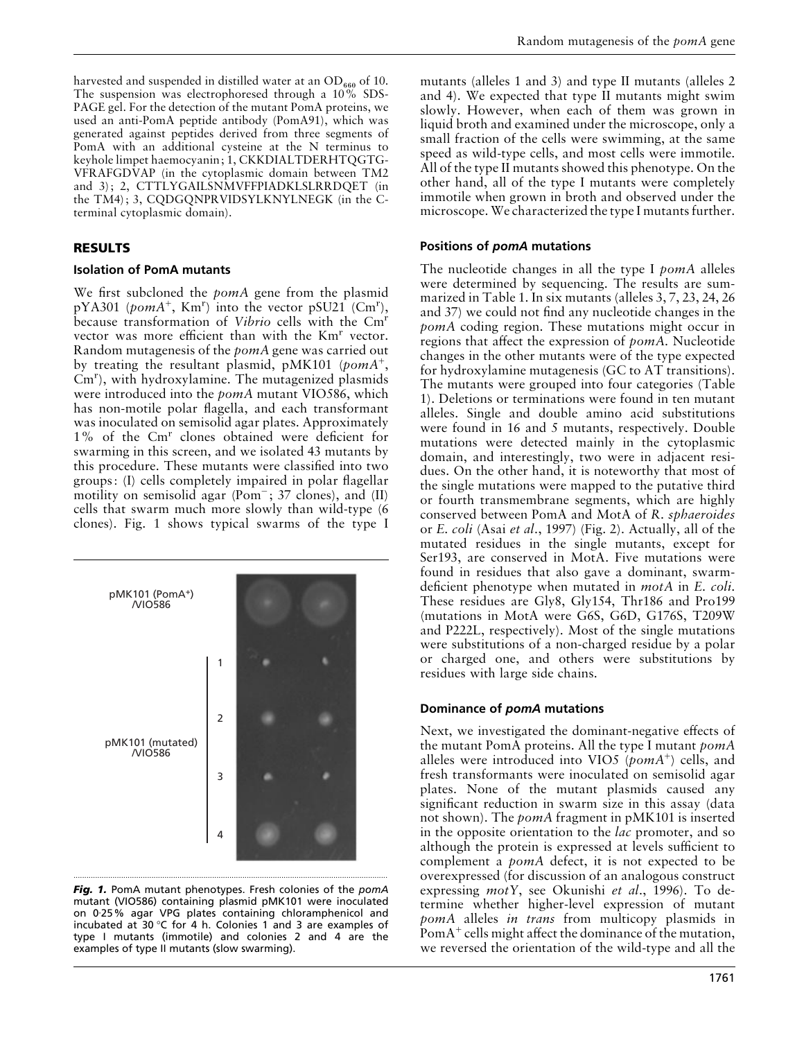harvested and suspended in distilled water at an  $OD_{660}$  of 10. The suspension was electrophoresed through a 10% SDS-PAGE gel. For the detection of the mutant PomA proteins, we used an anti-PomA peptide antibody (PomA91), which was generated against peptides derived from three segments of PomA with an additional cysteine at the N terminus to keyhole limpet haemocyanin; 1, CKKDIALTDERHTQGTG-VFRAFGDVAP (in the cytoplasmic domain between TM2 and 3); 2, CTTLYGAILSNMVFFPIADKLSLRRDQET (in the TM4); 3, CQDGQNPRVIDSYLKNYLNEGK (in the Cterminal cytoplasmic domain).

# **RESULTS**

## **Isolation of PomA mutants**

We first subcloned the *pomA* gene from the plasmid  $pYA301$  (*pomA*<sup>+</sup>, Km<sup>r</sup>) into the vector  $pSU21$  (Cm<sup>r</sup>), because transformation of *Vibrio* cells with the Cmr vector was more efficient than with the  $Km<sup>r</sup>$  vector. Random mutagenesis of the *pomA* gene was carried out by treating the resultant plasmid, pMK101 (*pomA*+,  $Cm<sup>r</sup>$ ), with hydroxylamine. The mutagenized plasmids were introduced into the *pomA* mutant VIO586, which has non-motile polar flagella, and each transformant was inoculated on semisolid agar plates. Approximately 1% of the Cm<sup>r</sup> clones obtained were deficient for swarming in this screen, and we isolated 43 mutants by this procedure. These mutants were classified into two groups: (I) cells completely impaired in polar flagellar motility on semisolid agar (Pom−; 37 clones), and (II) cells that swarm much more slowly than wild-type (6 clones). Fig. 1 shows typical swarms of the type I





mutants (alleles 1 and 3) and type II mutants (alleles 2 and 4). We expected that type II mutants might swim slowly. However, when each of them was grown in liquid broth and examined under the microscope, only a small fraction of the cells were swimming, at the same speed as wild-type cells, and most cells were immotile. All of the type II mutants showed this phenotype. On the other hand, all of the type I mutants were completely immotile when grown in broth and observed under the microscope.We characterized the type I mutants further.

# **Positions of** *pomA* **mutations**

The nucleotide changes in all the type I *pomA* alleles were determined by sequencing. The results are summarized in Table 1. In six mutants (alleles 3, 7, 23, 24, 26 and 37) we could not find any nucleotide changes in the *pomA* coding region. These mutations might occur in regions that affect the expression of *pomA*. Nucleotide changes in the other mutants were of the type expected for hydroxylamine mutagenesis (GC to AT transitions). The mutants were grouped into four categories (Table 1). Deletions or terminations were found in ten mutant alleles. Single and double amino acid substitutions were found in 16 and 5 mutants, respectively. Double mutations were detected mainly in the cytoplasmic domain, and interestingly, two were in adjacent residues. On the other hand, it is noteworthy that most of the single mutations were mapped to the putative third or fourth transmembrane segments, which are highly conserved between PomA and MotA of *R*. *sphaeroides* or *E*. *coli* (Asai *et al*., 1997) (Fig. 2). Actually, all of the mutated residues in the single mutants, except for Ser193, are conserved in MotA. Five mutations were found in residues that also gave a dominant, swarmdeficient phenotype when mutated in *motA* in *E*. *coli*. These residues are Gly8, Gly154, Thr186 and Pro199 (mutations in MotA were G6S, G6D, G176S, T209W and P222L, respectively). Most of the single mutations were substitutions of a non-charged residue by a polar or charged one, and others were substitutions by residues with large side chains.

# **Dominance of** *pomA* **mutations**

Next, we investigated the dominant-negative effects of the mutant PomA proteins. All the type I mutant *pomA* alleles were introduced into VIO5 (*pomA*+) cells, and fresh transformants were inoculated on semisolid agar plates. None of the mutant plasmids caused any significant reduction in swarm size in this assay (data not shown). The *pomA* fragment in pMK101 is inserted in the opposite orientation to the *lac* promoter, and so although the protein is expressed at levels sufficient to complement a *pomA* defect, it is not expected to be overexpressed (for discussion of an analogous construct expressing *motY*, see Okunishi *et al*., 1996). To determine whether higher-level expression of mutant *pomA* alleles *in trans* from multicopy plasmids in PomA<sup>+</sup> cells might affect the dominance of the mutation, we reversed the orientation of the wild-type and all the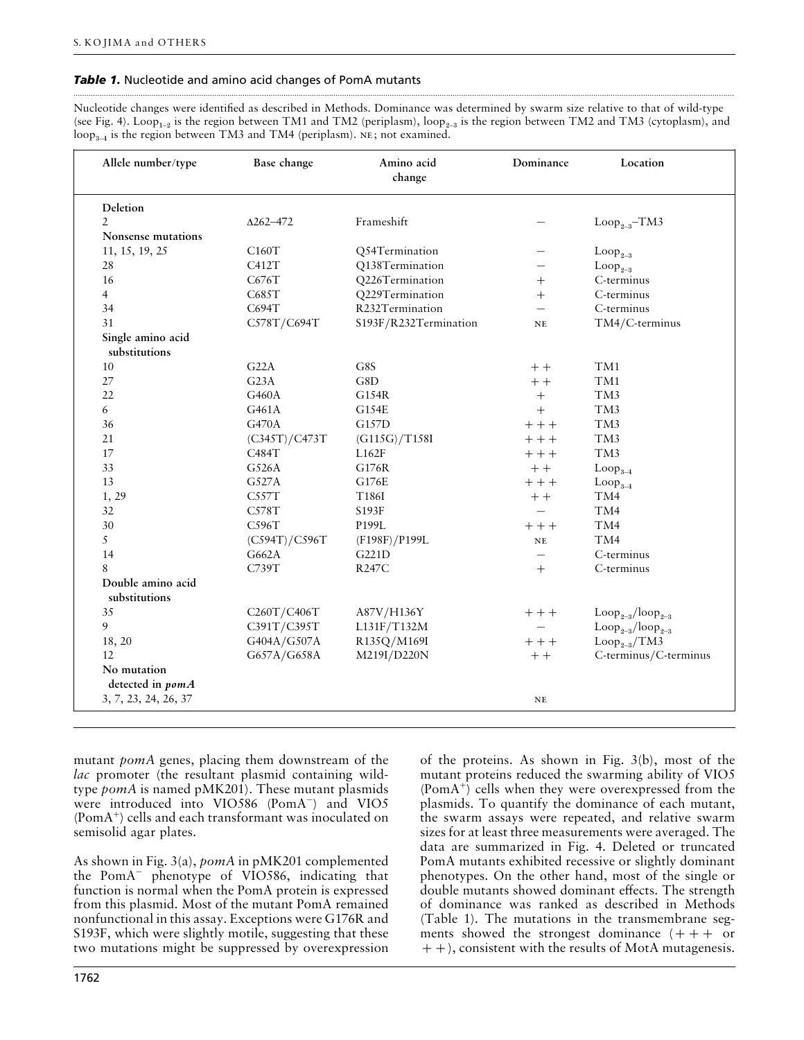## *Table 1.* Nucleotide and amino acid changes of PomA mutants

Nucleotide changes were identified as described in Methods. Dominance was determined by swarm size relative to that of wild-type (see Fig. 4). Loop<sub>1-2</sub> is the region between TM1 and TM2 (periplasm), loop<sub>2-3</sub> is the region between TM2 and TM3 (cytoplasm), and  $\text{loop}_{3-4}$  is the region between TM3 and TM4 (periplasm). NE; not examined.

.................................................................................................................................................................................................................................................................................................................

| Allele number/type                 | Base change      | Amino acid<br>change  | Dominance                | Location                              |
|------------------------------------|------------------|-----------------------|--------------------------|---------------------------------------|
| Deletion                           |                  |                       |                          |                                       |
| $\overline{2}$                     | $\Delta$ 262-472 | Frameshift            |                          | $Loop_{2-3}$ -TM3                     |
| Nonsense mutations                 |                  |                       |                          |                                       |
| 11, 15, 19, 25                     | C160T            | Q54Termination        |                          | $Loop_{2-3}$                          |
| 28                                 | C412T            | Q138Termination       |                          | $Loop_{2-3}$                          |
| 16                                 | C676T            | Q226Termination       | $^{+}$                   | C-terminus                            |
| $\overline{4}$                     | C685T            | Q229Termination       | $^{+}$                   | C-terminus                            |
| 34                                 | C694T            | R232Termination       | $\overline{\phantom{0}}$ | C-terminus                            |
| 31                                 | C578T/C694T      | S193F/R232Termination | NE                       | TM4/C-terminus                        |
| Single amino acid<br>substitutions |                  |                       |                          |                                       |
| 10                                 | G22A             | G8S                   | $++$                     | TM1                                   |
| 27                                 | G23A             | G8D                   | $+ +$                    | TM1                                   |
| 22                                 | G460A            | G154R                 | $^{+}$                   | TM <sub>3</sub>                       |
| 6                                  | G461A            | G154E                 | $+$                      | TM3                                   |
| 36                                 | G470A            | G157D                 | $++$                     | TM3                                   |
| 21                                 | (C345T)/C473T    | (G115G)/T158I         | $++$                     | TM <sub>3</sub>                       |
| 17                                 | C484T            | L162F                 | $++$                     | TM <sub>3</sub>                       |
| 33                                 | G526A            | G176R                 | $++$                     | $Loop_{3-4}$                          |
| 13                                 | G527A            | G176E                 | $++$                     | $Loop_{3-4}$                          |
| 1, 29                              | C557T            | T186I                 | $++$                     | TM4                                   |
| 32                                 | C578T            | S193F                 |                          | TM4                                   |
| 30                                 | C596T            | P199L                 | $+++$                    | TM4                                   |
| 5                                  | (C594T)/C596T    | (F198F)/P199L         | $_{\rm NE}$              | TM4                                   |
| 14                                 | G662A            | G221D                 | $\overline{\phantom{0}}$ | C-terminus                            |
| 8                                  | C739T            | <b>R247C</b>          | $+$                      | C-terminus                            |
| Double amino acid<br>substitutions |                  |                       |                          |                                       |
| 35                                 | C260T/C406T      | A87V/H136Y            | $++$                     | $\text{Loop}_{2-3}/\text{loop}_{2-3}$ |
| 9                                  | C391T/C395T      | L131F/T132M           |                          | $Loop_{2-3}/loop_{2-3}$               |
| 18, 20                             | G404A/G507A      | R135Q/M169I           | $++$                     | $Loop_{2-3}/TM3$                      |
| 12                                 | G657A/G658A      | M219I/D220N           | $++$                     | C-terminus/C-terminus                 |
| No mutation                        |                  |                       |                          |                                       |
| detected in pomA                   |                  |                       |                          |                                       |
| 3, 7, 23, 24, 26, 37               |                  |                       | NE                       |                                       |
|                                    |                  |                       |                          |                                       |

mutant *pomA* genes, placing them downstream of the *lac* promoter (the resultant plasmid containing wildtype *pomA* is named pMK201). These mutant plasmids were introduced into VIO586 (PomA−) and VIO5 (PomA+) cells and each transformant was inoculated on semisolid agar plates.

As shown in Fig. 3(a), *pomA* in pMK201 complemented the PomA− phenotype of VIO586, indicating that function is normal when the PomA protein is expressed from this plasmid. Most of the mutant PomA remained nonfunctional in this assay. Exceptions were G176R and S193F, which were slightly motile, suggesting that these two mutations might be suppressed by overexpression

of the proteins. As shown in Fig. 3(b), most of the mutant proteins reduced the swarming ability of VIO5  $(PomA^+)$  cells when they were overexpressed from the plasmids. To quantify the dominance of each mutant, the swarm assays were repeated, and relative swarm sizes for at least three measurements were averaged. The data are summarized in Fig. 4. Deleted or truncated PomA mutants exhibited recessive or slightly dominant phenotypes. On the other hand, most of the single or double mutants showed dominant effects. The strength of dominance was ranked as described in Methods (Table 1). The mutations in the transmembrane segments showed the strongest dominance  $( + + + \alpha)^2$  $(+)$ , consistent with the results of MotA mutagenesis.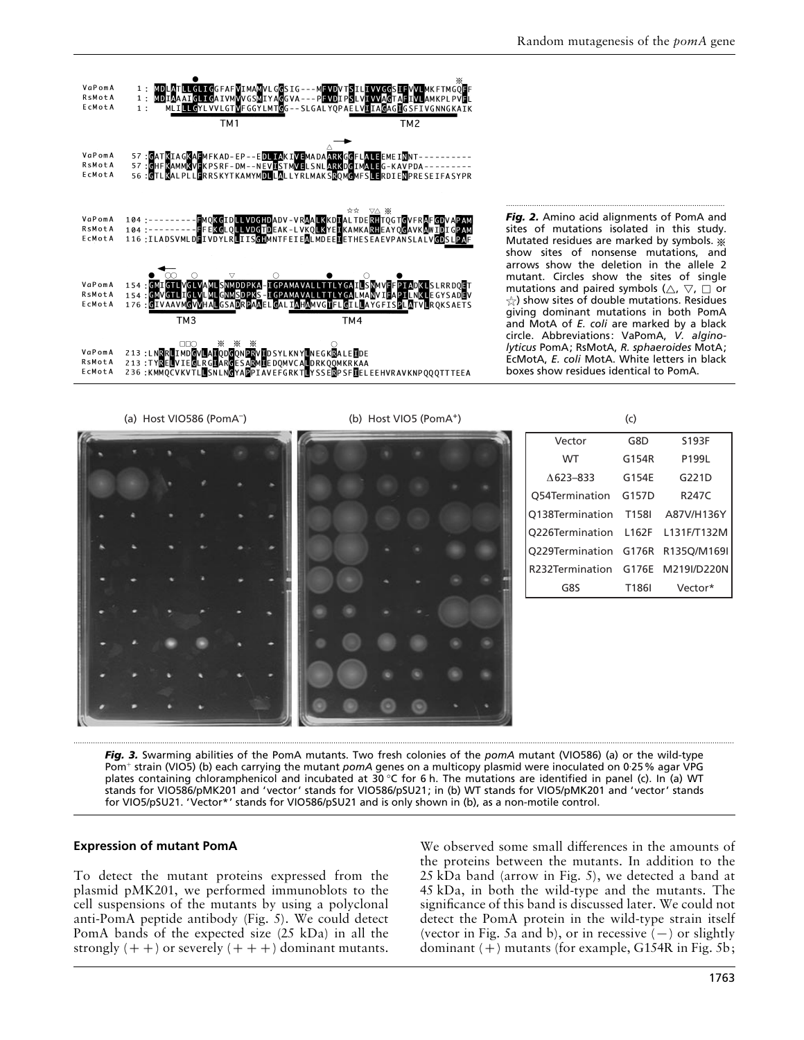

*Fig. 2.* Amino acid alignments of PomA and sites of mutations isolated in this study. Mutated residues are marked by symbols. \* show sites of nonsense mutations, and arrows show the deletion in the allele 2 mutant. Circles show the sites of single mutations and paired symbols ( $\triangle$ ,  $\triangledown$ ,  $\Box$  or  $\chi$ ) show sites of double mutations. Residues giving dominant mutations in both PomA and MotA of *E. coli* are marked by a black circle. Abbreviations: VaPomA, *V. alginolyticus* PomA; RsMotA, *R. sphaeroides* MotA; EcMotA, *E. coli* MotA. White letters in black boxes show residues identical to PomA.

.....................................................................................................



*Fig. 3.* Swarming abilities of the PomA mutants. Two fresh colonies of the *pomA* mutant (VIO586) (a) or the wild-type Pom<sup>+</sup> strain (VIO5) (b) each carrying the mutant *pomA* genes on a multicopy plasmid were inoculated on 0·25% agar VPG plates containing chloramphenicol and incubated at 30 °C for 6 h. The mutations are identified in panel (c). In (a) WT stands for VIO586/pMK201 and 'vector' stands for VIO586/pSU21; in (b) WT stands for VIO5/pMK201 and 'vector' stands for VIO5/pSU21. 'Vector\*' stands for VIO586/pSU21 and is only shown in (b), as a non-motile control.

## **Expression of mutant PomA**

To detect the mutant proteins expressed from the plasmid pMK201, we performed immunoblots to the cell suspensions of the mutants by using a polyclonal anti-PomA peptide antibody (Fig. 5). We could detect PomA bands of the expected size (25 kDa) in all the strongly  $(+)$  or severely  $(++)$  dominant mutants.

We observed some small differences in the amounts of the proteins between the mutants. In addition to the 25 kDa band (arrow in Fig. 5), we detected a band at 45 kDa, in both the wild-type and the mutants. The significance of this band is discussed later. We could not detect the PomA protein in the wild-type strain itself (vector in Fig. 5a and b), or in recessive  $(-)$  or slightly dominant  $(+)$  mutants (for example, G154R in Fig. 5b;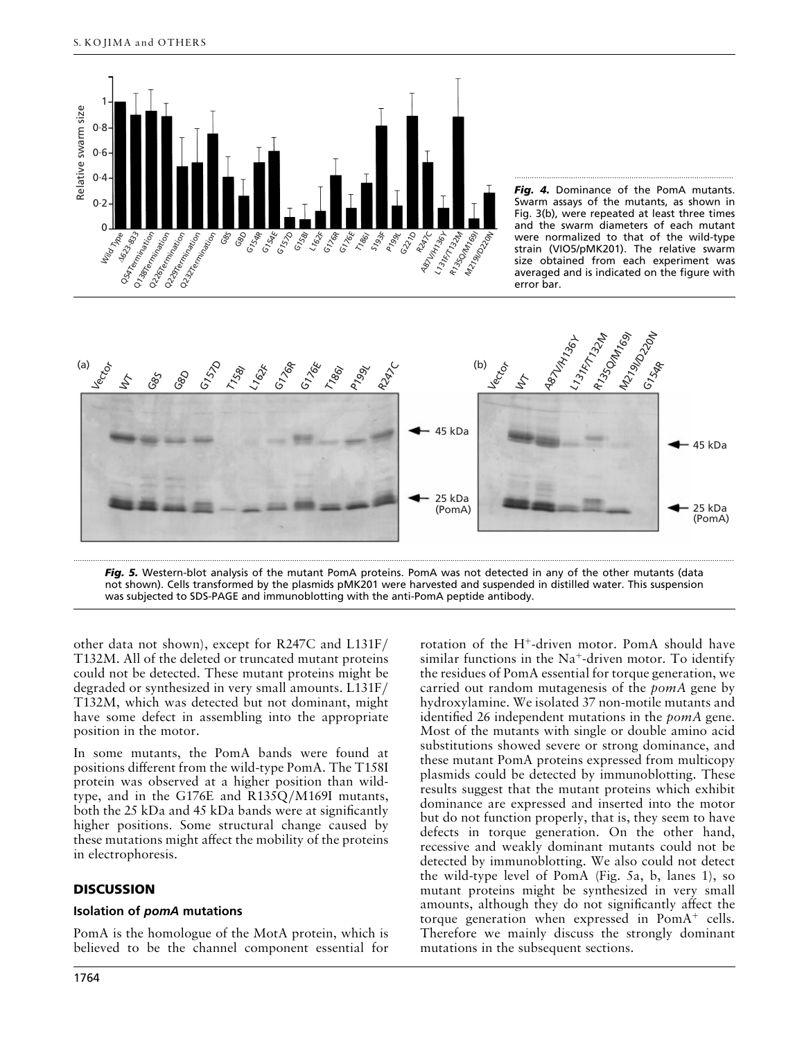

Fig. 4. Dominance of the PomA mutants. Swarm assays of the mutants, as shown in Fig. 3(b), were repeated at least three times and the swarm diameters of each mutant were normalized to that of the wild-type strain (VIO5/pMK201). The relative swarm size obtained from each experiment was averaged and is indicated on the figure with error bar.

.....................................................................................................



*Fig. 5.* Western-blot analysis of the mutant PomA proteins. PomA was not detected in any of the other mutants (data not shown). Cells transformed by the plasmids pMK201 were harvested and suspended in distilled water. This suspension was subjected to SDS-PAGE and immunoblotting with the anti-PomA peptide antibody.

other data not shown), except for R247C and L131F} T132M. All of the deleted or truncated mutant proteins could not be detected. These mutant proteins might be degraded or synthesized in very small amounts. L131F/ T132M, which was detected but not dominant, might have some defect in assembling into the appropriate position in the motor.

In some mutants, the PomA bands were found at positions different from the wild-type PomA. The T158I protein was observed at a higher position than wildtype, and in the G176E and  $R135Q/M169I$  mutants, both the 25 kDa and 45 kDa bands were at significantly higher positions. Some structural change caused by these mutations might affect the mobility of the proteins in electrophoresis.

## **DISCUSSION**

#### **Isolation of** *pomA* **mutations**

PomA is the homologue of the MotA protein, which is believed to be the channel component essential for

rotation of the H+-driven motor. PomA should have similar functions in the  $Na<sup>+</sup>$ -driven motor. To identify the residues of PomA essential for torque generation, we carried out random mutagenesis of the *pomA* gene by hydroxylamine. We isolated 37 non-motile mutants and identified 26 independent mutations in the *pomA* gene. Most of the mutants with single or double amino acid substitutions showed severe or strong dominance, and these mutant PomA proteins expressed from multicopy plasmids could be detected by immunoblotting. These results suggest that the mutant proteins which exhibit dominance are expressed and inserted into the motor but do not function properly, that is, they seem to have defects in torque generation. On the other hand, recessive and weakly dominant mutants could not be detected by immunoblotting. We also could not detect the wild-type level of PomA (Fig. 5a, b, lanes 1), so mutant proteins might be synthesized in very small amounts, although they do not significantly affect the torque generation when expressed in  $PomA^+$  cells. Therefore we mainly discuss the strongly dominant mutations in the subsequent sections.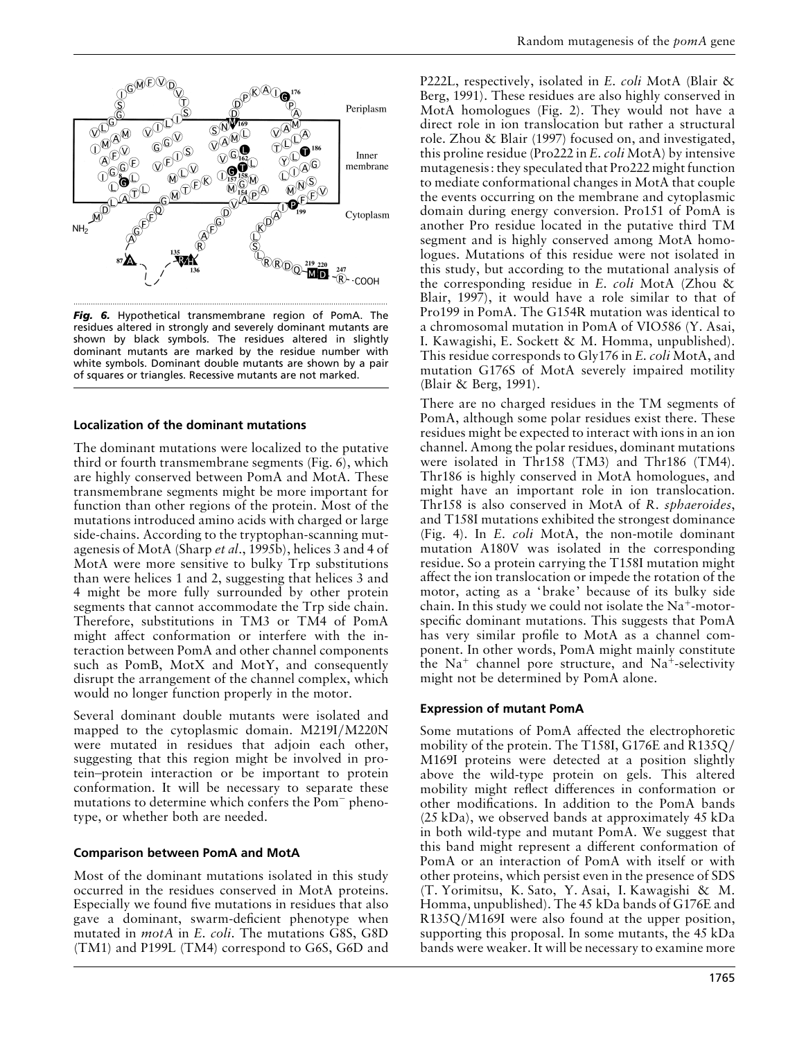

*Fig. 6.* Hypothetical transmembrane region of PomA. The residues altered in strongly and severely dominant mutants are shown by black symbols. The residues altered in slightly dominant mutants are marked by the residue number with white symbols. Dominant double mutants are shown by a pair of squares or triangles. Recessive mutants are not marked.

#### **Localization of the dominant mutations**

The dominant mutations were localized to the putative third or fourth transmembrane segments (Fig. 6), which are highly conserved between PomA and MotA. These transmembrane segments might be more important for function than other regions of the protein. Most of the mutations introduced amino acids with charged or large side-chains. According to the tryptophan-scanning mutagenesis of MotA (Sharp *et al*., 1995b), helices 3 and 4 of MotA were more sensitive to bulky Trp substitutions than were helices 1 and 2, suggesting that helices 3 and 4 might be more fully surrounded by other protein segments that cannot accommodate the Trp side chain. Therefore, substitutions in TM3 or TM4 of PomA might affect conformation or interfere with the interaction between PomA and other channel components such as PomB, MotX and MotY, and consequently disrupt the arrangement of the channel complex, which would no longer function properly in the motor.

Several dominant double mutants were isolated and mapped to the cytoplasmic domain. M219I/M220N were mutated in residues that adjoin each other, suggesting that this region might be involved in protein–protein interaction or be important to protein conformation. It will be necessary to separate these mutations to determine which confers the Pom− phenotype, or whether both are needed.

#### **Comparison between PomA and MotA**

Most of the dominant mutations isolated in this study occurred in the residues conserved in MotA proteins. Especially we found five mutations in residues that also gave a dominant, swarm-deficient phenotype when mutated in *motA* in *E*. *coli*. The mutations G8S, G8D (TM1) and P199L (TM4) correspond to G6S, G6D and

P222L, respectively, isolated in *E*. *coli* MotA (Blair & Berg, 1991). These residues are also highly conserved in MotA homologues (Fig. 2). They would not have a direct role in ion translocation but rather a structural role. Zhou & Blair (1997) focused on, and investigated, this proline residue (Pro222 in *E*. *coli* MotA) by intensive mutagenesis: they speculated that Pro222 might function to mediate conformational changes in MotA that couple the events occurring on the membrane and cytoplasmic domain during energy conversion. Pro151 of PomA is another Pro residue located in the putative third TM segment and is highly conserved among MotA homologues. Mutations of this residue were not isolated in this study, but according to the mutational analysis of the corresponding residue in *E*. *coli* MotA (Zhou & Blair, 1997), it would have a role similar to that of Pro199 in PomA. The G154R mutation was identical to a chromosomal mutation in PomA of VIO586 (Y. Asai, I. Kawagishi, E. Sockett & M. Homma, unpublished). This residue corresponds to Gly176 in *E*. *coli* MotA, and mutation G176S of MotA severely impaired motility (Blair & Berg, 1991).

There are no charged residues in the TM segments of PomA, although some polar residues exist there. These residues might be expected to interact with ions in an ion channel. Among the polar residues, dominant mutations were isolated in Thr158 (TM3) and Thr186 (TM4). Thr186 is highly conserved in MotA homologues, and might have an important role in ion translocation. Thr158 is also conserved in MotA of *R*. *sphaeroides*, and T158I mutations exhibited the strongest dominance (Fig. 4). In *E*. *coli* MotA, the non-motile dominant mutation A180V was isolated in the corresponding residue. So a protein carrying the T158I mutation might affect the ion translocation or impede the rotation of the motor, acting as a 'brake' because of its bulky side chain. In this study we could not isolate the  $Na^+$ -motorspecific dominant mutations. This suggests that PomA has very similar profile to MotA as a channel component. In other words, PomA might mainly constitute the  $Na<sup>+</sup>$  channel pore structure, and  $Na<sup>+</sup>$ -selectivity might not be determined by PomA alone.

## **Expression of mutant PomA**

Some mutations of PomA affected the electrophoretic mobility of the protein. The T158I, G176E and R135Q} M169I proteins were detected at a position slightly above the wild-type protein on gels. This altered mobility might reflect differences in conformation or other modifications. In addition to the PomA bands (25 kDa), we observed bands at approximately 45 kDa in both wild-type and mutant PomA. We suggest that this band might represent a different conformation of PomA or an interaction of PomA with itself or with other proteins, which persist even in the presence of SDS (T. Yorimitsu, K. Sato, Y. Asai, I. Kawagishi & M. Homma, unpublished). The 45 kDa bands of G176E and R135Q}M169I were also found at the upper position, supporting this proposal. In some mutants, the 45 kDa bands were weaker. It will be necessary to examine more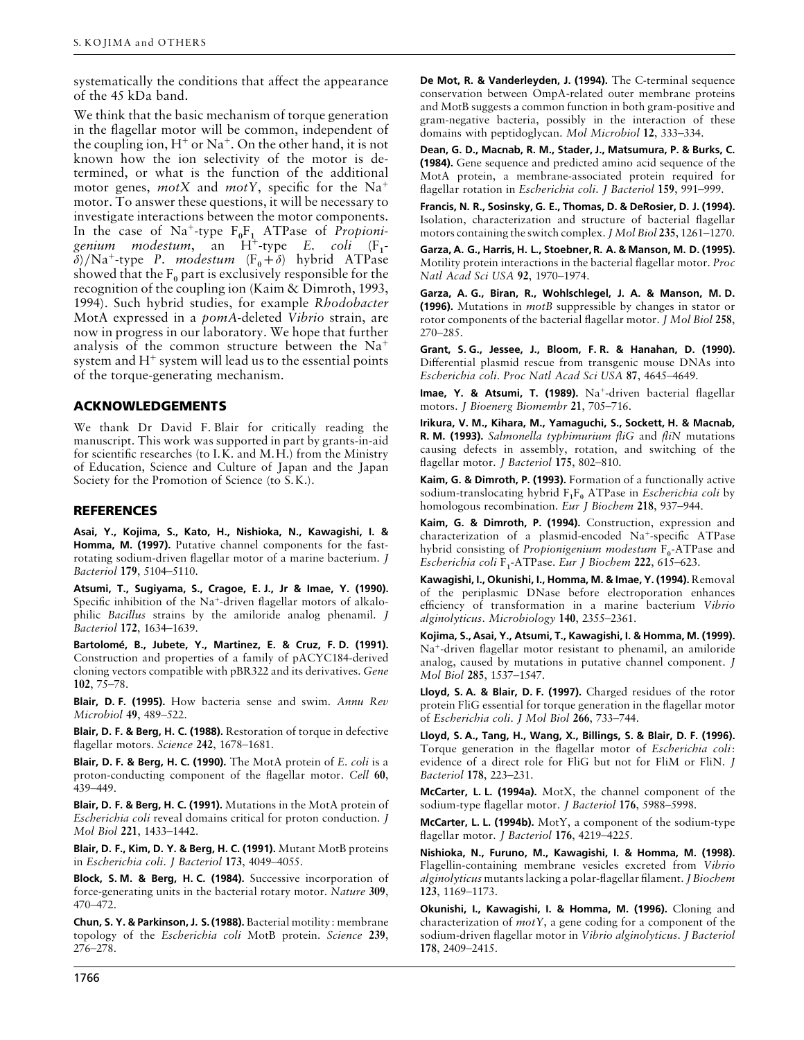systematically the conditions that affect the appearance of the 45 kDa band.

We think that the basic mechanism of torque generation in the flagellar motor will be common, independent of the coupling ion,  $H^+$  or Na<sup>+</sup>. On the other hand, it is not known how the ion selectivity of the motor is determined, or what is the function of the additional motor genes, *motX* and *motY*, specific for the Na+ motor. To answer these questions, it will be necessary to investigate interactions between the motor components. In the case of  $\text{Na}^+$ -type  $\text{F}_{0}^{\text{F}_{1}}$  ATPase of *Propioni*g*enium modestum*, an H<sup>+</sup>-type *E. coli* (F<sub>1</sub>  $\delta$ )/Na<sup>+</sup>-type *P. modestum* (F<sub>0</sub>+ $\delta$ ) hybrid ATPase  $(F_1$ showed that the  $F_0$  part is exclusively responsible for the recognition of the coupling ion (Kaim & Dimroth, 1993, 1994). Such hybrid studies, for example *Rhodobacter* MotA expressed in a *pomA*-deleted *Vibrio* strain, are now in progress in our laboratory. We hope that further analysis of the common structure between the Na+ system and  $H^+$  system will lead us to the essential points of the torque-generating mechanism.

#### **ACKNOWLEDGEMENTS**

We thank Dr David F. Blair for critically reading the manuscript. This work was supported in part by grants-in-aid for scientific researches (to I.K. and M.H.) from the Ministry of Education, Science and Culture of Japan and the Japan Society for the Promotion of Science (to S.K.).

#### **REFERENCES**

**Asai, Y., Kojima, S., Kato, H., Nishioka, N., Kawagishi, I. & Homma, M. (1997).** Putative channel components for the fastrotating sodium-driven flagellar motor of a marine bacterium. *J Bacteriol* **179**, 5104–5110.

**Atsumi, T., Sugiyama, S., Cragoe, E. J., Jr & Imae, Y. (1990).** Specific inhibition of the Na<sup>+</sup>-driven flagellar motors of alkalophilic *Bacillus* strains by the amiloride analog phenamil. *J Bacteriol* **172**, 1634–1639.

**Bartolome!, B., Jubete, Y., Martinez, E. & Cruz, F. D. (1991).** Construction and properties of a family of pACYC184-derived cloning vectors compatible with pBR322 and its derivatives. *Gene* **102**, 75–78.

**Blair, D. F. (1995).** How bacteria sense and swim. *Annu Rev Microbiol* **49**, 489–522.

**Blair, D. F. & Berg, H. C. (1988).** Restoration of torque in defective flagellar motors. *Science* **242**, 1678–1681.

**Blair, D. F. & Berg, H. C. (1990).** The MotA protein of *E*. *coli* is a proton-conducting component of the flagellar motor. *Cell* **60**, 439–449.

**Blair, D. F. & Berg, H. C. (1991).** Mutations in the MotA protein of *Escherichia coli* reveal domains critical for proton conduction. *J Mol Biol* **221**, 1433–1442.

**Blair, D. F., Kim, D. Y. & Berg, H. C. (1991).** Mutant MotB proteins in *Escherichia coli*. *J Bacteriol* **173**, 4049–4055.

**Block, S. M. & Berg, H. C. (1984).** Successive incorporation of force-generating units in the bacterial rotary motor. *Nature* **309**, 470–472.

**Chun, S. Y. & Parkinson, J. S. (1988).** Bacterial motility: membrane topology of the *Escherichia coli* MotB protein. *Science* **239**, 276–278.

**De Mot, R. & Vanderleyden, J. (1994).** The C-terminal sequence conservation between OmpA-related outer membrane proteins and MotB suggests a common function in both gram-positive and gram-negative bacteria, possibly in the interaction of these domains with peptidoglycan. *Mol Microbiol* **12**, 333–334.

**Dean, G. D., Macnab, R. M., Stader, J., Matsumura, P. & Burks, C. (1984).** Gene sequence and predicted amino acid sequence of the MotA protein, a membrane-associated protein required for flagellar rotation in *Escherichia coli*. *J Bacteriol* **159**, 991–999.

**Francis, N. R., Sosinsky, G. E., Thomas, D. & DeRosier, D. J. (1994).** Isolation, characterization and structure of bacterial flagellar motors containing the switch complex. *J Mol Biol* **235**, 1261–1270.

**Garza, A. G., Harris, H. L., Stoebner, R. A. & Manson, M. D. (1995).** Motility protein interactions in the bacterial flagellar motor. *Proc Natl Acad Sci USA* **92**, 1970–1974.

**Garza, A. G., Biran, R., Wohlschlegel, J. A. & Manson, M. D. (1996).** Mutations in *motB* suppressible by changes in stator or rotor components of the bacterial flagellar motor. *J Mol Biol* **258**, 270–285.

**Grant, S. G., Jessee, J., Bloom, F. R. & Hanahan, D. (1990).** Differential plasmid rescue from transgenic mouse DNAs into *Escherichia coli*. *Proc Natl Acad Sci USA* **87**, 4645–4649.

**Imae, Y. & Atsumi, T. (1989).** Na<sup>+</sup>-driven bacterial flagellar motors. *J Bioenerg Biomembr* **21**, 705–716.

**Irikura, V. M., Kihara, M., Yamaguchi, S., Sockett, H. & Macnab, R. M. (1993).** *Salmonella typhimurium fliG* and *fliN* mutations causing defects in assembly, rotation, and switching of the flagellar motor. *J Bacteriol* **175**, 802–810.

**Kaim, G. & Dimroth, P. (1993).** Formation of a functionally active sodium-translocating hybrid  $F_1F_0$  ATPase in *Escherichia coli* by homologous recombination. *Eur J Biochem* **218**, 937–944.

**Kaim, G. & Dimroth, P. (1994).** Construction, expression and characterization of a plasmid-encoded Na+-specific ATPase hybrid consisting of *Propionigenium modestum* F<sub>0</sub>-ATPase and *Escherichia coli* F "-ATPase. *Eur J Biochem* **222**, 615–623.

 **Kawagishi, I., Okunishi, I., Homma, M. & Imae, Y. (1994).**Removal of the periplasmic DNase before electroporation enhances efficiency of transformation in a marine bacterium *Vibrio alginolyticus*. *Microbiology* **140**, 2355–2361.

**Kojima, S., Asai, Y., Atsumi, T., Kawagishi, I. & Homma, M. (1999).** Na+-driven flagellar motor resistant to phenamil, an amiloride analog, caused by mutations in putative channel component. *J Mol Biol* **285**, 1537–1547.

**Lloyd, S. A. & Blair, D. F. (1997).** Charged residues of the rotor protein FliG essential for torque generation in the flagellar motor of *Escherichia coli*. *J Mol Biol* **266**, 733–744.

**Lloyd, S. A., Tang, H., Wang, X., Billings, S. & Blair, D. F. (1996).** Torque generation in the flagellar motor of *Escherichia coli*: evidence of a direct role for FliG but not for FliM or FliN. *J Bacteriol* **178**, 223–231.

**McCarter, L. L. (1994a).** MotX, the channel component of the sodium-type flagellar motor. *J Bacteriol* **176**, 5988–5998.

**McCarter, L. L. (1994b).** MotY, a component of the sodium-type flagellar motor. *J Bacteriol* **176**, 4219–4225.

**Nishioka, N., Furuno, M., Kawagishi, I. & Homma, M. (1998).** Flagellin-containing membrane vesicles excreted from *Vibrio alginolyticus* mutants lacking a polar-flagellar filament. *J Biochem* **123**, 1169–1173.

**Okunishi, I., Kawagishi, I. & Homma, M. (1996).** Cloning and characterization of *motY*, a gene coding for a component of the sodium-driven flagellar motor in *Vibrio alginolyticus*. *J Bacteriol* **178**, 2409–2415.